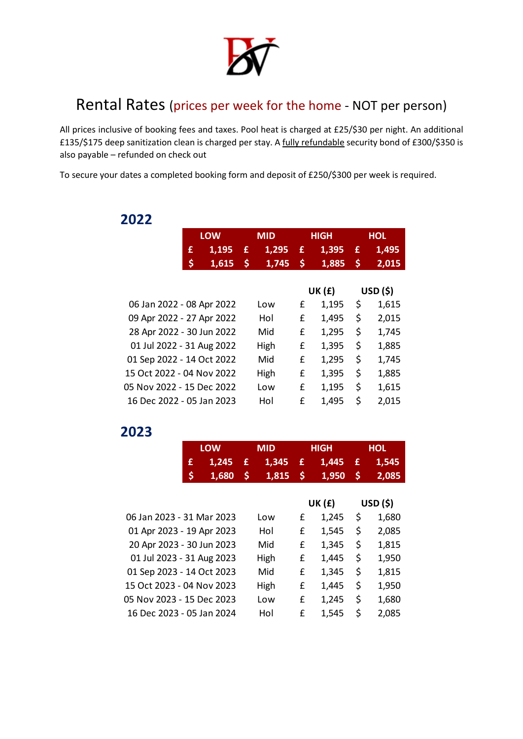

## Rental Rates (prices per week for the home - NOT per person)

All prices inclusive of booking fees and taxes. Pool heat is charged at £25/\$30 per night. An additional £135/\$175 deep sanitization clean is charged per stay. A fully refundable security bond of £300/\$350 is also payable – refunded on check out

To secure your dates a completed booking form and deposit of £250/\$300 per week is required.

|                           | <b>LOW</b> |       | <b>MID</b> |       | <b>HIGH</b> |        | <b>HOL</b> |          |
|---------------------------|------------|-------|------------|-------|-------------|--------|------------|----------|
|                           | £          | 1,195 | £          | 1,295 | £           | 1,395  | £          | 1,495    |
|                           | \$         | 1,615 | \$         | 1,745 | \$          | 1,885  | \$         | 2,015    |
|                           |            |       |            |       |             |        |            |          |
|                           |            |       |            |       |             | UK (£) |            | USD (\$) |
| 06 Jan 2022 - 08 Apr 2022 |            |       |            | Low   | £           | 1,195  | \$         | 1,615    |
| 09 Apr 2022 - 27 Apr 2022 |            |       |            | Hol   | £           | 1,495  | \$         | 2,015    |
| 28 Apr 2022 - 30 Jun 2022 |            |       |            | Mid   | £           | 1,295  | \$         | 1,745    |
| 01 Jul 2022 - 31 Aug 2022 |            |       |            | High  | £           | 1,395  | \$         | 1,885    |
| 01 Sep 2022 - 14 Oct 2022 |            |       |            | Mid   | £           | 1,295  | \$         | 1,745    |
| 15 Oct 2022 - 04 Nov 2022 |            |       |            | High  | £           | 1,395  | \$         | 1,885    |
| 05 Nov 2022 - 15 Dec 2022 |            |       |            | Low   | £           | 1,195  | \$         | 1,615    |
| 16 Dec 2022 - 05 Jan 2023 |            |       |            | Hol   | £           | 1,495  | \$         | 2,015    |

## **2022**

## **2023**

|                           | <b>LOW</b> |       | <b>MID</b> |       | <b>HIGH</b> |        | <b>HOL</b> |       |  |
|---------------------------|------------|-------|------------|-------|-------------|--------|------------|-------|--|
|                           | 1,245<br>£ |       | £          | 1,345 | £           | 1,445  | £          | 1,545 |  |
|                           | \$         | 1,680 | \$         | 1,815 | \$          | 1,950  | \$         | 2,085 |  |
|                           |            |       |            |       |             |        |            |       |  |
|                           |            |       |            |       |             | UK (£) | USD (\$)   |       |  |
| 06 Jan 2023 - 31 Mar 2023 |            |       |            | Low   | £           | 1,245  | \$         | 1,680 |  |
| 01 Apr 2023 - 19 Apr 2023 |            |       |            | Hol   | £           | 1,545  | \$         | 2,085 |  |
| 20 Apr 2023 - 30 Jun 2023 |            |       |            | Mid   | £           | 1,345  | \$         | 1,815 |  |
| 01 Jul 2023 - 31 Aug 2023 |            |       |            | High  | £           | 1,445  | \$         | 1,950 |  |
| 01 Sep 2023 - 14 Oct 2023 |            |       |            | Mid   | £           | 1,345  | \$         | 1,815 |  |
| 15 Oct 2023 - 04 Nov 2023 |            |       |            | High  | £           | 1,445  | \$         | 1,950 |  |
| 05 Nov 2023 - 15 Dec 2023 |            |       |            | Low   | £           | 1,245  | \$         | 1,680 |  |
| 16 Dec 2023 - 05 Jan 2024 |            |       |            | Hol   | £           | 1,545  | \$         | 2,085 |  |